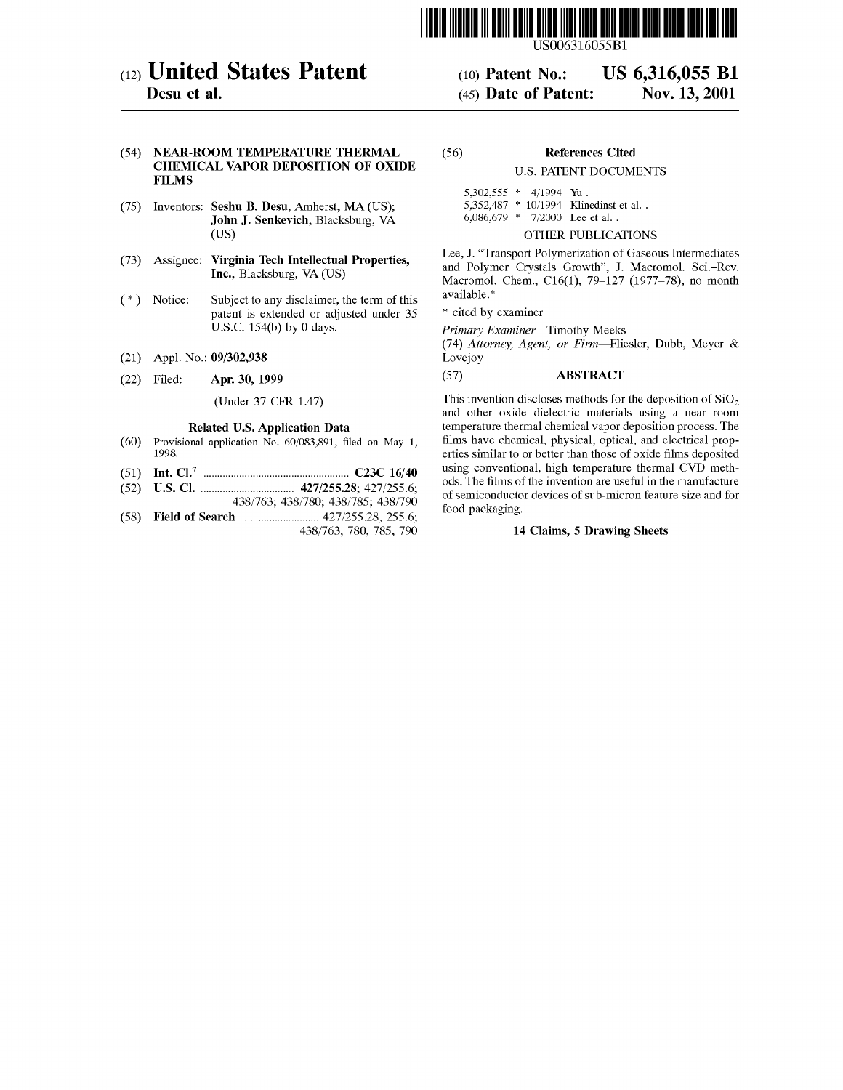

US 6,316,055 B1

Nov. 13, 2001

# (12) United States Patent

Desu et al.

#### (54) NEAR-ROOM TEMPERATURE THERMAL CHEMICAL VAPOR DEPOSITION OF OXIDE FILMS

- (75) Inventors: Seshu B. Desu, Amherst, MA (US); John J. Senkevich, Blacksburg, VA (US)
- (73) Assignee: Virginia Tech Intellectual Properties, Inc., Blacksburg, VA (US)
- (\*) Subject to any disclaimer, the term of this patent is extended or adjusted under 35 U.S.C. 154(b) by 0 days.
- (21) Appl. No.: 09/302,938
- (22) Apr. 30, 1999

#### (Under 37 CFR 1.47)

#### Related US. Application Data

- (60) Provisional application No. 60/083,891, filed on May 1, 1998.
- (51) Int. Cl.7 ..................................................... C23C 16/40
- (52) US. Cl. .................................. 427/255.28; 427/255.6;
- 438/763; 438/780; 438/785; 438/790 Field of Search ............................ 427/255.28, 255.6;
- (58) 438/763, 780, 785, 790

#### References Cited (56)

(10) Patent N0.: (45) Date of Patent:

## U.S. PATENT DOCUMENTS

| $5,302,555$ * $4/1994$ Yu. |  |                                      |
|----------------------------|--|--------------------------------------|
|                            |  | 5,352,487 * 10/1994 Klinedinst et al |
|                            |  | 6,086,679 $*$ 7/2000 Lee et al.      |

#### OTHER PUBLICATIONS

Lee, J. "Transport Polymerization of Gaseous Intermediates and Polymer Crystals Growth", J. Macromol. Sci.—Rev. Macromol. Chem., C16(1), 79—127 (1977—78), no month available.\*

\* cited by examiner

Primary Examiner—Timothy Meeks

(74) Attorney, Agent, or Firm—Fliesler, Dubb, Meyer & Lovejoy

# (57) ABSTRACT

This invention discloses methods for the deposition of  $SiO<sub>2</sub>$ and other oxide dielectric materials using a near room temperature thermal chemical vapor deposition process. The films have chemical, physical, optical, and electrical properties similar to or better than those of oxide films deposited using conventional, high temperature thermal CVD methods. The films of the invention are useful in the manufacture of semiconductor devices of sub-micron feature size and for food packaging.

# 14 Claims, 5 Drawing Sheets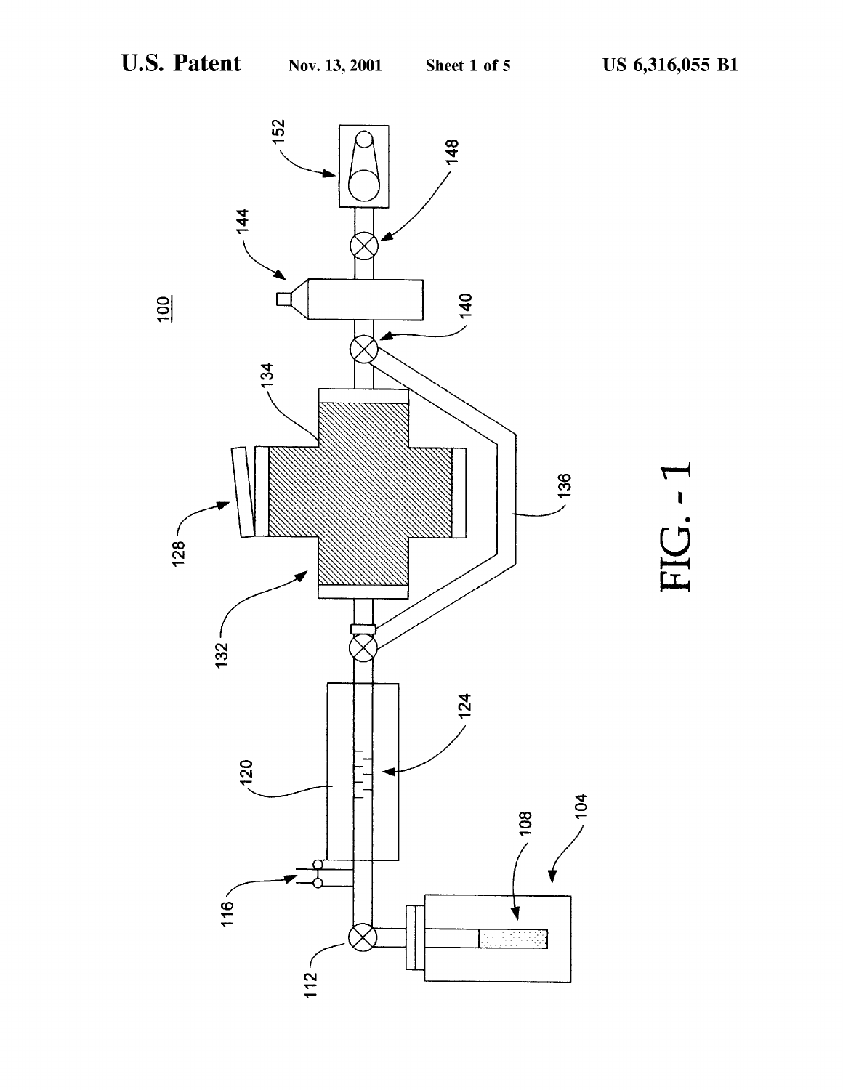

FIG.-1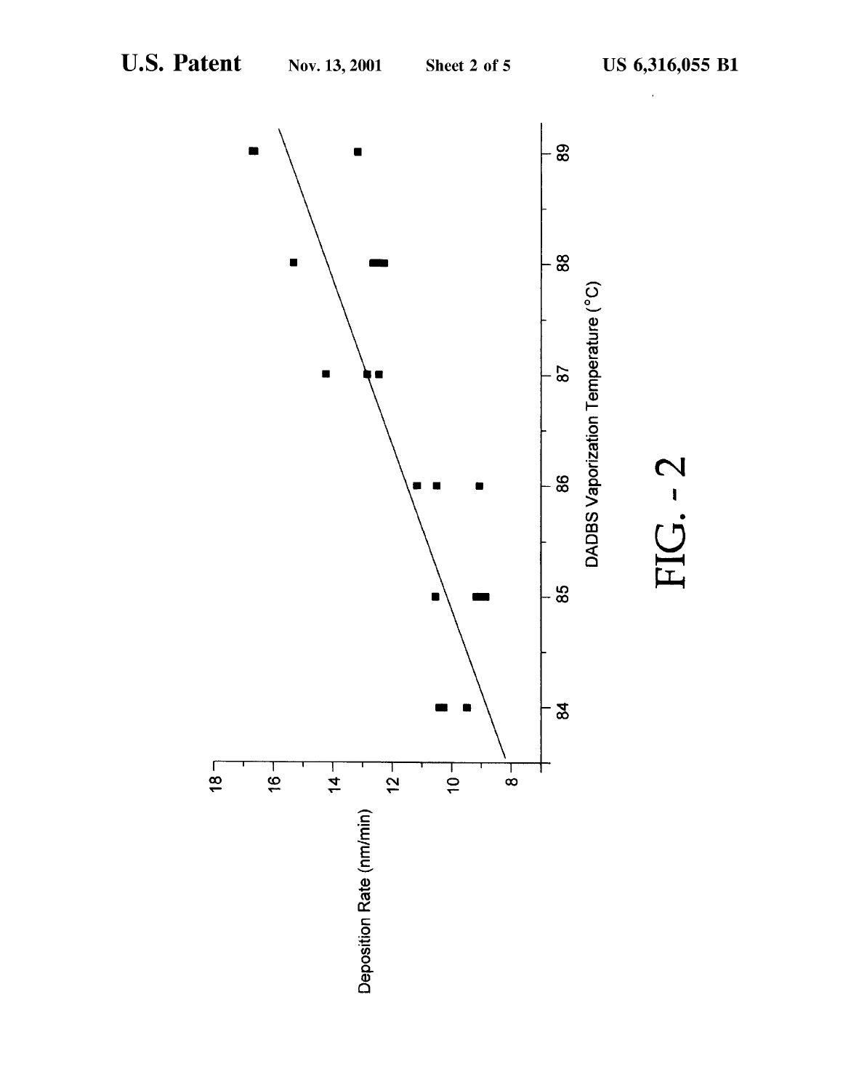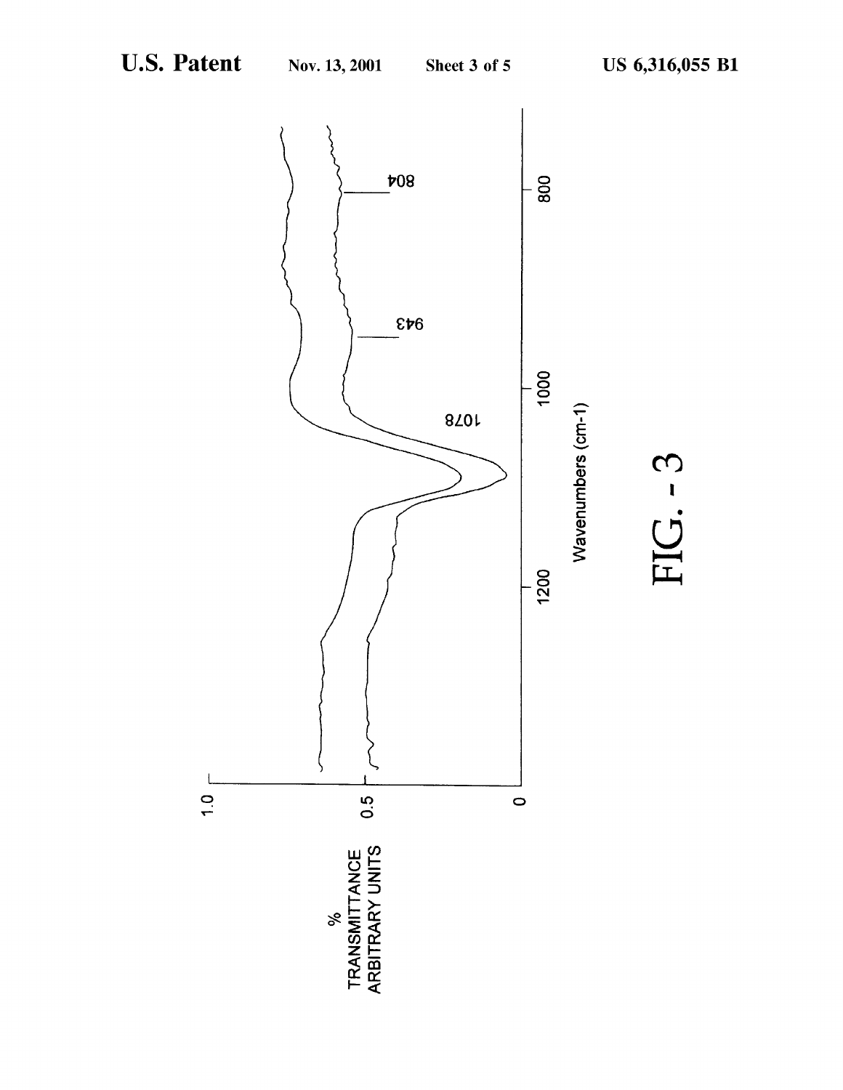IG.  $-3$ 

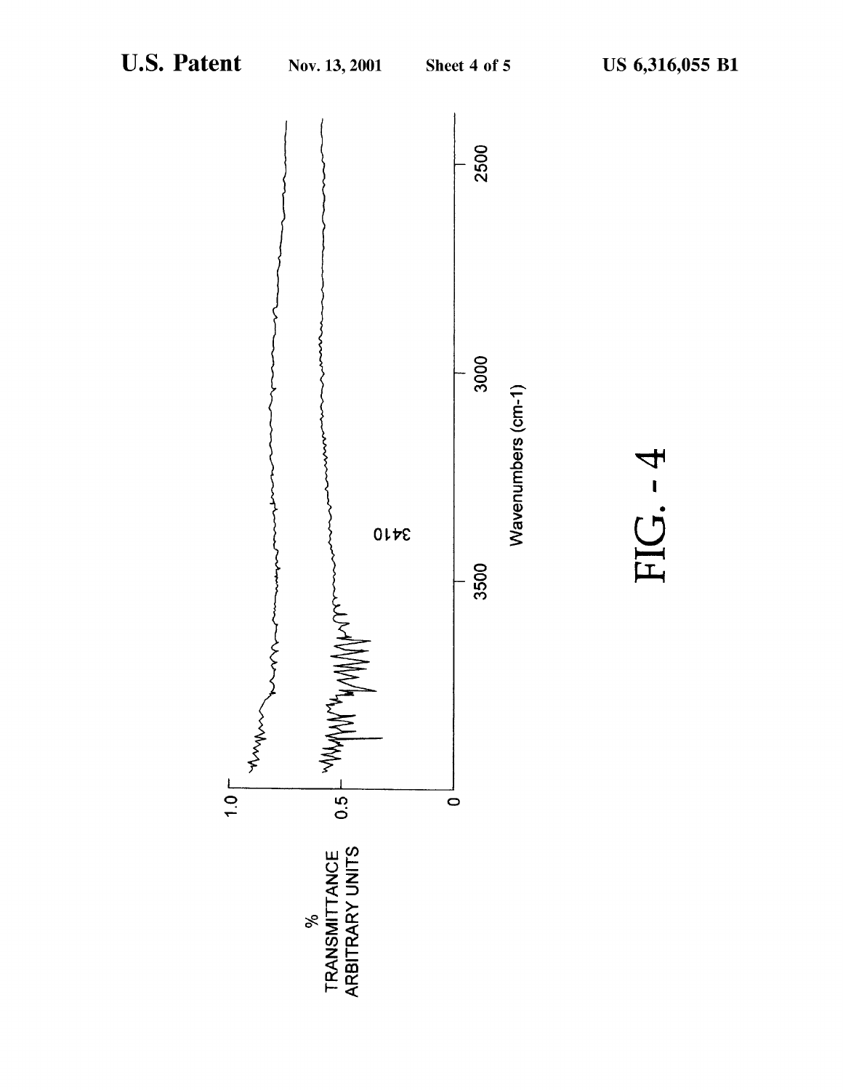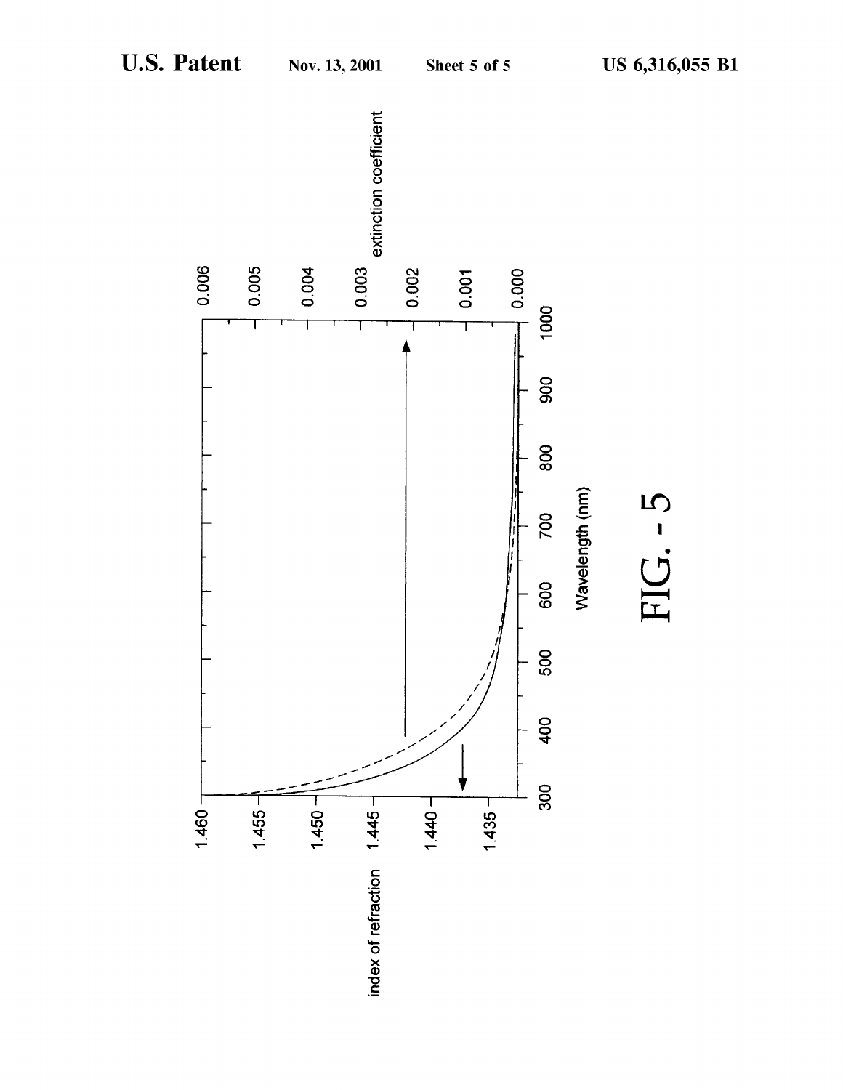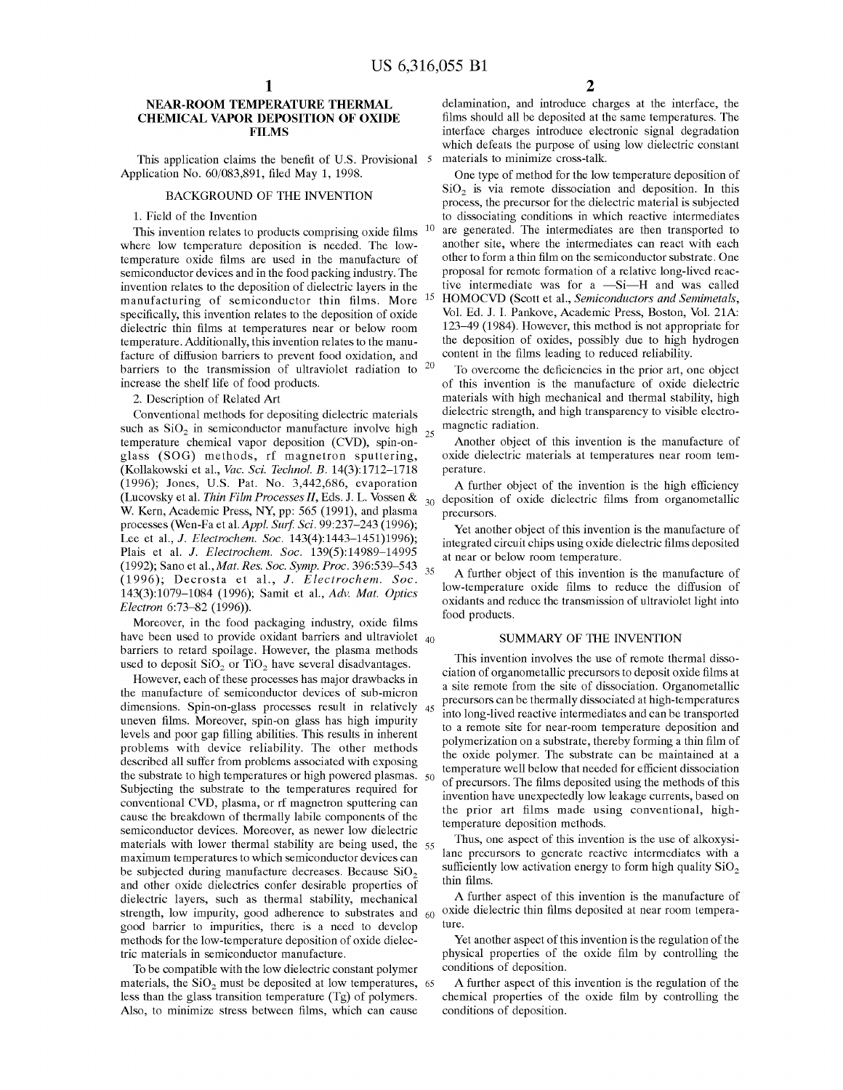10

15

25

# NEAR-ROOM TEMPERATURE THERMAL CHEMICAL VAPOR DEPOSITION OF OXIDE FILMS

This application claims the benefit of U.S. Provisional 5 Application No. 60/083,891, filed May 1, 1998.

#### BACKGROUND OF THE INVENTION

#### 1. Field of the Invention

This invention relates to products comprising oxide films where low temperature deposition is needed. The lowtemperature oxide films are used in the manufacture of semiconductor devices and in the food packing industry. The invention relates to the deposition of dielectric layers in the manufacturing of semiconductor thin films. More specifically, this invention relates to the deposition of oxide dielectric thin films at temperatures near or below room temperature. Additionally, this invention relates to the manufacture of diffusion barriers to prevent food oxidation, and barriers to the transmission of ultraviolet radiation to <sup>20</sup> increase the shelf life of food products.

2. Description of Related Art

Conventional methods for depositing dielectric materials such as  $SiO<sub>2</sub>$  in semiconductor manufacture involve high temperature chemical vapor deposition (CVD), spin-onglass (SOG) methods, rf magnetron sputtering, (Kollakowski et al., Vac. Sci. Technol. B. 14(3):1712—1718 (1996); Jones, U.S. Pat. No. 3,442,686, evaporation (Lucovsky et al. Thin Film Processes 11, Eds. J. L. Vossen & W. Kern, Academic Press, NY, pp: 565 (1991), and plasma processes (Wen-Fa et al. Appl. Surf. Sci. 99:237-243 (1996); Lee et al., *J. Electrochem. Soc.* 143(4):1443-1451)1996); Plais et al. J. Electrochem. Soc. 139(5):14989—14995 (1992); Sano et al.,Mat. Res. Soc. Symp. Proc. 396:539—543 (1996); Decrosta et al., J. Electrochem. Soc. 143(3):1079—1084 (1996); Samit et al., Adv. Mat. Optics Electron 6:73—82 (1996)). 35

Moreover, in the food packaging industry, oxide films have been used to provide oxidant barriers and ultraviolet  $_{40}$ barriers to retard spoilage. However, the plasma methods used to deposit  $SiO<sub>2</sub>$  or  $TiO<sub>2</sub>$  have several disadvantages.

However, each of these processes has major drawbacks in the manufacture of semiconductor devices of sub-micron dimensions. Spin-on-glass processes result in relatively 45 uneven films. Moreover, spin-on glass has high impurity levels and poor gap filling abilities. This results in inherent problems with device reliability. The other methods described all suffer from problems associated with exposing the substrate to high temperatures or high powered plasmas.  $50$ Subjecting the substrate to the temperatures required for conventional CVD, plasma, or rf magnetron sputtering can cause the breakdown of thermally labile components of the semiconductor devices. Moreover, as newer low dielectric materials with lower thermal stability are being used, the 55 maximum temperatures to which semiconductor devices can be subjected during manufacture decreases. Because  $SiO<sub>2</sub>$ and other oxide dielectrics confer desirable properties of dielectric layers, such as thermal stability, mechanical strength, low impurity, good adherence to substrates and 60 good barrier to impurities, there is a need to develop methods for the low-temperature deposition of oxide dielectric materials in semiconductor manufacture.

To be compatible with the low dielectric constant polymer materials, the  $SiO<sub>2</sub>$  must be deposited at low temperatures, 65 less than the glass transition temperature (Tg) of polymers. Also, to minimize stress between films, which can cause

delamination, and introduce charges at the interface, the films should all be deposited at the same temperatures. The interface charges introduce electronic signal degradation which defeats the purpose of using low dielectric constant materials to minimize cross-talk.

One type of method for the low temperature deposition of  $SiO<sub>2</sub>$  is via remote dissociation and deposition. In this process, the precursor for the dielectric material is subjected to dissociating conditions in which reactive intermediates are generated. The intermediates are then transported to another site, where the intermediates can react with each other to form a thin film on the semiconductor substrate. One proposal for remote formation of a relative long-lived reactive intermediate was for <sup>a</sup> —Si—H and was called HOMOCVD (Scott et al., Semiconductors and Semimetals, Vol. Ed. J. I. Pankove, Academic Press, Boston, Vol. 21A: 123—49 (1984). However, this method is not appropriate for the deposition of oxides, possibly due to high hydrogen content in the films leading to reduced reliability.

To overcome the deficiencies in the prior art, one object of this invention is the manufacture of oxide dielectric materials with high mechanical and thermal stability, high dielectric strength, and high transparency to visible electromagnetic radiation.

Another object of this invention is the manufacture of oxide dielectric materials at temperatures near room temperature.

30 deposition of oxide dielectric films from organometallic A further object of the invention is the high efficiency precursors.

Yet another object of this invention is the manufacture of integrated circuit chips using oxide dielectric films deposited at near or below room temperature.

A further object of this invention is the manufacture of low-temperature oxide films to reduce the diffusion of oxidants and reduce the transmission of ultraviolet light into food products.

#### SUMMARY OF THE INVENTION

This invention involves the use of remote thermal dissociation of organometallic precursors to deposit oxide films at a site remote from the site of dissociation. Organometallic precursors can be thermally dissociated at high-temperatures into long-lived reactive intermediates and can be transported to a remote site for near-room temperature deposition and polymerization on a substrate, thereby forming a thin film of the oxide polymer. The substrate can be maintained at a temperature well below that needed for efficient dissociation of precursors. The films deposited using the methods of this invention have unexpectedly low leakage currents, based on the prior art films made using conventional, hightemperature deposition methods.

Thus, one aspect of this invention is the use of alkoxysilane precursors to generate reactive intermediates with a sufficiently low activation energy to form high quality  $SiO<sub>2</sub>$ thin films.

A further aspect of this invention is the manufacture of oxide dielectric thin films deposited at near room temperature.

Yet another aspect of this invention is the regulation of the physical properties of the oxide film by controlling the conditions of deposition.

A further aspect of this invention is the regulation of the chemical properties of the oxide film by controlling the conditions of deposition.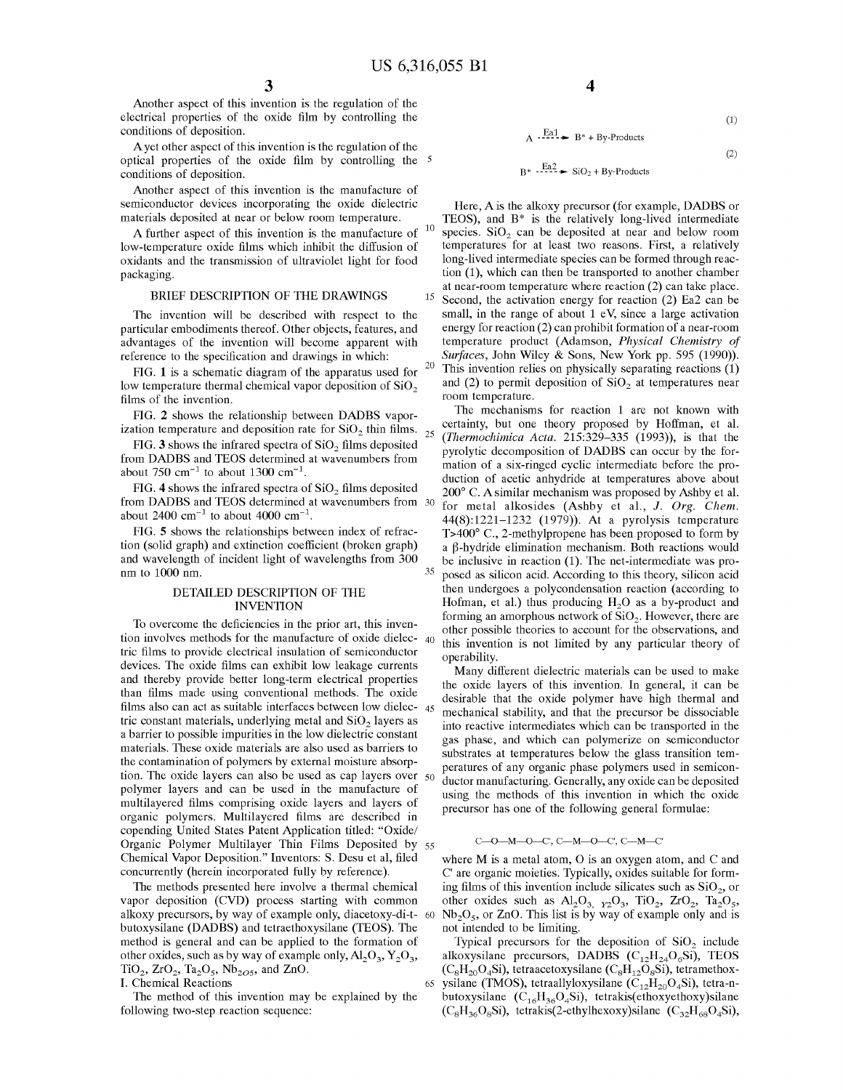10

35

60

65

Another aspect of this invention is the regulation of the electrical properties of the oxide film by controlling the conditions of deposition.

Ayet other aspect of this invention is the regulation of the optical properties of the oxide film by controlling the conditions of deposition.

Another aspect of this invention is the manufacture of semiconductor devices incorporating the oxide dielectric materials deposited at near or below room temperature.

A further aspect of this invention is the manufacture of low-temperature oxide films which inhibit the diffusion of oxidants and the transmission of ultraviolet light for food packaging.

#### BRIEF DESCRIPTION OF THE DRAWINGS

The invention will be described with respect to the particular embodiments thereof. Other objects, features, and advantages of the invention will become apparent with reference to the specification and drawings in which:

FIG. 1 is a schematic diagram of the apparatus used for  $20$ low temperature thermal chemical vapor deposition of  $SiO<sub>2</sub>$ films of the invention.

FIG. <sup>2</sup> shows the relationship between DADBS vaporization temperature and deposition rate for  $SiO<sub>2</sub>$  thin films.  $_{25}$ 

FIG. 3 shows the infrared spectra of  $SiO<sub>2</sub>$  films deposited from DADBS and TEOS determined at wavenumbers from about 750  $cm^{-1}$  to about 1300  $cm^{-1}$ .

FIG. 4 shows the infrared spectra of  $SiO<sub>2</sub>$  films deposited From DADBS and TEOS determined at wavenumbers from  $\frac{30}{2}$ about 2400  $\text{cm}^{-1}$  to about 4000  $\text{cm}^{-1}$ .

FIG. 5 shows the relationships between index of refraction (solid graph) and extinction coefficient (broken graph) and wavelength of incident light of wavelengths from 300 nm to 1000 nm.

#### DETAILED DESCRIPTION OF THE INVENTION

To overcome the deficiencies in the prior art, this invention involves methods for the manufacture of oxide dielec-40 tric films to provide electrical insulation of semiconductor devices. The oxide films can exhibit low leakage currents and thereby provide better long-term electrical properties than films made using conventional methods. The oxide films also can act as suitable interfaces between low dielec- 45 tric constant materials, underlying metal and  $SiO<sub>2</sub>$  layers as a barrier to possible impurities in the low dielectric constant materials. These oxide materials are also used as barriers to the contamination of polymers by external moisture absorption. The oxide layers can also be used as cap layers over 50 polymer layers and can be used in the manufacture of multilayered films comprising oxide layers and layers of organic polymers. Multilayered films are described in copending United States Patent Application titled: "Oxide/ Organic Polymer Multilayer Thin Films Deposited by 55 Chemical Vapor Deposition." Inventors: S. Desu et al, filed concurrently (herein incorporated fully by reference).

The methods presented here involve a thermal chemical vapor deposition (CVD) process starting with common alkoxy precursors, by way of example only, diacetoxy-di-tbutoxysilane (DADBS) and tetraethoxysilane (TEOS). The method is general and can be applied to the formation of other oxides, such as by way of example only,  $Al_2O_3$ ,  $Y_2O_3$ ,  $TiO_2$ ,  $ZrO_2$ ,  $Ta_2O_5$ ,  $Nb_{2O5}$ , and  $ZnO$ . I. Chemical Reactions

The method of this invention may be explained by the

following two-step reaction sequence:

(1)

(2)

# $B^*$   $\cdot \frac{Eq2}{12}$   $\rightarrow$  SiO<sub>2</sub> + By-Products

 $A \xrightarrow{Ea1} B^* + By-Products$ 

15 Here, A is the alkoxy precursor (for example, DADBS or TEOS), and  $B^*$  is the relatively long-lived intermediate species.  $SiO<sub>2</sub>$  can be deposited at near and below room temperatures for at least two reasons. First, a relatively long-lived intermediate species can be formed through reaction (1), which can then be transported to another chamber at near-room temperature where reaction (2) can take place. Second, the activation energy for reaction (2) Ea2 can be small, in the range of about 1 eV, since a large activation energy for reaction (2) can prohibit formation of a near-room temperature product (Adamson, Physical Chemistry of Surfaces, John Wiley & Sons, New York pp. 595 (1990)). This invention relies on physically separating reactions (1) and (2) to permit deposition of  $SiO<sub>2</sub>$  at temperatures near room temperature.

The mechanisms for reaction <sup>1</sup> are not known with certainty, but one theory proposed by Hoffman, et al. (Thermochimica Acta.  $215:329-335$  (1993)), is that the pyrolytic decomposition of DADBS can occur by the formation of a six-ringed cyclic intermediate before the production of acetic anhydride at temperatures above about 200° C. A similar mechanism was proposed by Ashby et al. for metal alkosides (Ashby et al., J. Org. Chem. 44(8):1221—1232 (1979)). At a pyrolysis temperature T>400° C., 2-methylpropene has been proposed to form by a B-hydride elimination mechanism. Both reactions would be inclusive in reaction (1). The net-intermediate was proposed as silicon acid. According to this theory, silicon acid then undergoes a polycondensation reaction (according to Hofman, et al.) thus producing  $H<sub>2</sub>O$  as a by-product and forming an amorphous network of  $SiO<sub>2</sub>$ . However, there are other possible theories to account for the observations, and this invention is not limited by any particular theory of operability.

Many different dielectric materials can be used to make the oxide layers of this invention. In general, it can be desirable that the oxide polymer have high thermal and mechanical stability, and that the precursor be dissociable into reactive intermediates which can be transported in the gas phase, and which can polymerize on semiconductor substrates at temperatures below the glass transition temperatures of any organic phase polymers used in semiconductor manufacturing. Generally, any oxide can be deposited using the methods of this invention in which the oxide precursor has one of the following general formulae:

#### C—O—M—O—C', C—M—O—C', C—M—C'

where M is <sup>a</sup> metal atom, O is an oxygen atom, and C and C' are organic moieties. Typically, oxides suitable for forming films of this invention include silicates such as  $SiO<sub>2</sub>$ , or other oxides such as  $\text{Al}_2\text{O}_3$ ,  $_{12}\text{O}_3$ ,  $_{11}\text{O}_2$ ,  $_{2}\text{O}_2$ ,  $_{11}\text{O}_2$ ,  $_{12}\text{O}_5$ ,  $Nb<sub>2</sub>O<sub>5</sub>$ , or ZnO. This list is by way of example only and is not intended to be limiting.

Typical precursors for the deposition of  $SiO<sub>2</sub>$  include alkoxysilane precursors, DADBS  $(C_{12}H_{24}O_6Si)$ , TEOS  $(C_8H_{20}O_4Si)$ , tetraacetoxysilane  $(C_8H_{12}O_8Si)$ , tetramethoxysilane (TMOS), tetraallyloxysilane ( $C_{12}H_{20}O_4$ Si), tetra-nbutoxysilane  $(C_{16}H_{36}O_4Si)$ , tetrakis(ethoxyethoxy)silane  $(C_8H_{36}O_8Si)$ , tetrakis(2-ethylhexoxy)silane  $(C_{32}H_{68}O_4Si)$ ,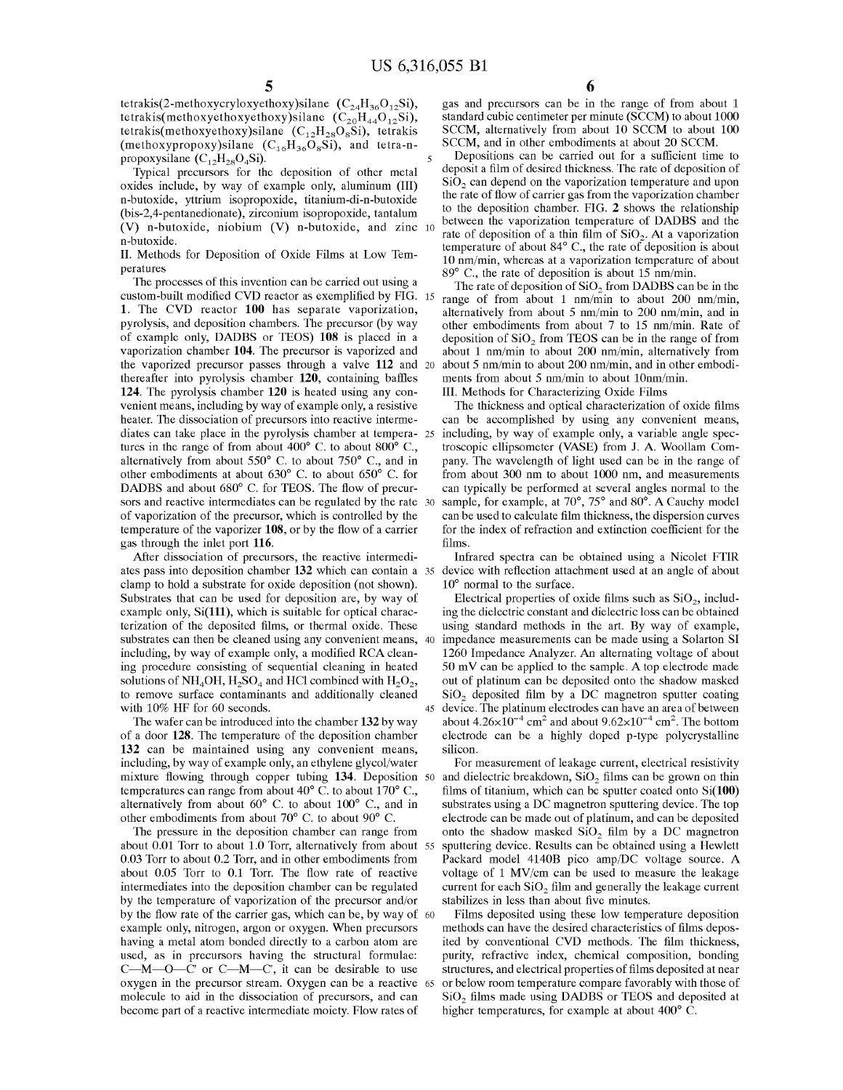$\overline{5}$ 

45

tetrakis(2-methoxycryloxyethoxy)silane  $(C_{24}H_{36}O_{12}Si)$ , tetrakis(methoxyethoxyethoxy)silane  $(C_{20}H_{44}O_{12}Si)$ , tetrakis(methoxyethoxy)silane  $(C_{12}H_{28}O_8Si)$ , tetrakis (methoxypropoxy)silane  $(C_{16}H_{36}O_8Si)$ , and tetra-npropoxysilane  $(C_{12}H_{28}O_4Si)$ .

Typical precursors for the deposition of other metal oxides include, by way of example only, aluminum (III) n-butoxide, yttrium isopropoxide, titanium-di-n-butoxide (bis-2,4-pentanedionate), zirconium isopropoxide, tantalum  $(V)$  n-butoxide, niobium  $(V)$  n-butoxide, and zinc 10 n-butoxide.

II. Methods for Deposition of Oxide Films at Low Temperatures

The processes of this invention can be carried out using a custom-built modified CVD reactor as exemplified by FIG. 15 1. The CVD reactor 100 has separate vaporization, pyrolysis, and deposition chambers. The precursor (by way of example only, DADBS or TEOS) 108 is placed in <sup>a</sup> vaporization chamber 104. The precursor is vaporized and the vaporized precursor passes through a valve 112 and 20 thereafter into pyrolysis chamber 120, containing baffles 124. The pyrolysis chamber 120 is heated using any convenient means, including by way of example only, <sup>a</sup> resistive heater. The dissociation of precursors into reactive intermediates can take place in the pyrolysis chamber at tempera-25 tures in the range of from about 400° C. to about 800° C., alternatively from about 550° C. to about 750° C., and in other embodiments at about 630° C. to about 650° C. for DADBS and about 680° C. for TEOS. The flow of precursors and reactive intermediates can be regulated by the rate 30 of vaporization of the precursor, which is controlled by the temperature of the vaporizer 108, or by the flow of <sup>a</sup> carrier gas through the inlet port 116.

After dissociation of precursors, the reactive intermediates pass into deposition chamber 132 which can contain a 35 device with reflection attachment used at an angle of about clamp to hold a substrate for oxide deposition (not shown). Substrates that can be used for deposition are, by way of example only, Si(111), which is suitable for optical characterization of the deposited films, or thermal oxide. These substrates can then be cleaned using any convenient means, 40 including, by way of example only, <sup>a</sup> modified RCA cleaning procedure consisting of sequential cleaning in heated solutions of NH<sub>4</sub>OH, H<sub>2</sub>SO<sub>4</sub> and HCl combined with H<sub>2</sub>O<sub>2</sub>, to remove surface contaminants and additionally cleaned with 10% HF for 60 seconds.

The wafer can be introduced into the chamber 132 by way of a door 128. The temperature of the deposition chamber 132 can be maintained using any convenient means, including, by way of example only, an ethylene glycol/water mixture flowing through copper tubing 134. Deposition 50 and dielectric breakdown, SiO<sub>2</sub> films can be grown on thin temperatures can range from about 40° C. to about 170° C., alternatively from about 60° C. to about 100° C., and in other embodiments from about 70° C. to about 90° C.

The pressure in the deposition chamber can range from about  $0.01$  Torr to about 1.0 Torr, alternatively from about 55 0.03 Torr to about 0.2 Torr, and in other embodiments from about 0.05 Torr to 0.1 Torr. The flow rate of reactive intermediates into the deposition chamber can be regulated by the temperature of vaporization of the precursor and/or by the flow rate of the carrier gas, which can be, by way of example only, nitrogen, argon or oxygen. When precursors having a metal atom bonded directly to a carbon atom are used, as in precursors having the structural formulae: C—M—O—C' or C—M—C', it can be desirable to use oxygen in the precursor stream. Oxygen can be a reactive 65 molecule to aid in the dissociation of precursors, and can become part of a reactive intermediate moiety. Flow rates of 60

gas and precursors can be in the range of from about 1 standard cubic centimeter per minute (SCCM) to about 1000 SCCM, alternatively from about <sup>10</sup> SCCM to about <sup>100</sup> SCCM, and in other embodiments at about 20 SCCM.

Depositions can be carried out for a sufficient time to deposit a film of desired thickness. The rate of deposition of  $SiO<sub>2</sub>$  can depend on the vaporization temperature and upon the rate of flow of carrier gas from the vaporization chamber to the deposition chamber. FIG. 2 shows the relationship between the vaporization temperature of DADBS and the rate of deposition of a thin film of  $SiO<sub>2</sub>$ . At a vaporization temperature of about 84° C., the rate of deposition is about 10 nm/min, whereas at a vaporization temperature of about 89° C., the rate of deposition is about 15 nm/min.

The rate of deposition of  $SiO<sub>2</sub>$  from DADBS can be in the range of from about 1 nm/min to about 200 nm/min, alternatively from about 5 nm/min to 200 nm/min, and in other embodiments from about 7 to 15 nm/min. Rate of deposition of SiO<sub>2</sub> from TEOS can be in the range of from about <sup>1</sup> nm/min to about 200 nm/min, alternatively from about 5 nm/min to about 200 nm/min, and in other embodiments from about 5 nm/min to about 10nm/min.

III. Methods for Characterizing Oxide Films

The thickness and optical characterization of oxide films can be accomplished by using any convenient means, including, by way of example only, <sup>a</sup> variable angle spectroscopic ellipsometer (VASE) from J. A. Woollam Company. The wavelength of light used can be in the range of from about 300 nm to about 1000 nm, and measurements can typically be performed at several angles normal to the sample, for example, at 70°, 75° and 80°. A Cauchy model can be used to calculate film thickness, the dispersion curves for the index of refraction and extinction coefficient for the films.

Infrared spectra can be obtained using a Nicolet FTIR 10° normal to the surface.

Electrical properties of oxide films such as  $SiO<sub>2</sub>$ , including the dielectric constant and dielectric loss can be obtained using standard methods in the art. By way of example, impedance measurements can be made using a Solarton SI 1260 Impedance Analyzer. An alternating voltage of about <sup>50</sup> mV can be applied to the sample. A top electrode made out of platinum can be deposited onto the shadow masked  $SiO<sub>2</sub>$  deposited film by a DC magnetron sputter coating device. The platinum electrodes can have an area of between about  $4.26\times10^{-4}$  cm<sup>2</sup> and about  $9.62\times10^{-4}$  cm<sup>2</sup>. The bottom electrode can be a highly doped p-type polycrystalline silicon.

For measurement of leakage current, electrical resistivity films of titanium, which can be sputter coated onto Si(100) substrates using <sup>a</sup> DC magnetron sputtering device. The top electrode can be made out of platinum, and can be deposited onto the shadow masked  $SiO<sub>2</sub>$  film by a DC magnetron sputtering device. Results can be obtained using a Hewlett Packard model 4140B pico amp/DC voltage source. A voltage of <sup>1</sup> MV/cm can be used to measure the leakage current for each  $SiO<sub>2</sub>$  film and generally the leakage current stabilizes in less than about five minutes.

Films deposited using these low temperature deposition methods can have the desired characteristics of films deposited by conventional CVD methods. The film thickness, purity, refractive index, chemical composition, bonding structures, and electrical properties of films deposited at near or below room temperature compare favorably with those of SiO<sub>2</sub> films made using DADBS or TEOS and deposited at higher temperatures, for example at about 400 $^{\circ}$  C.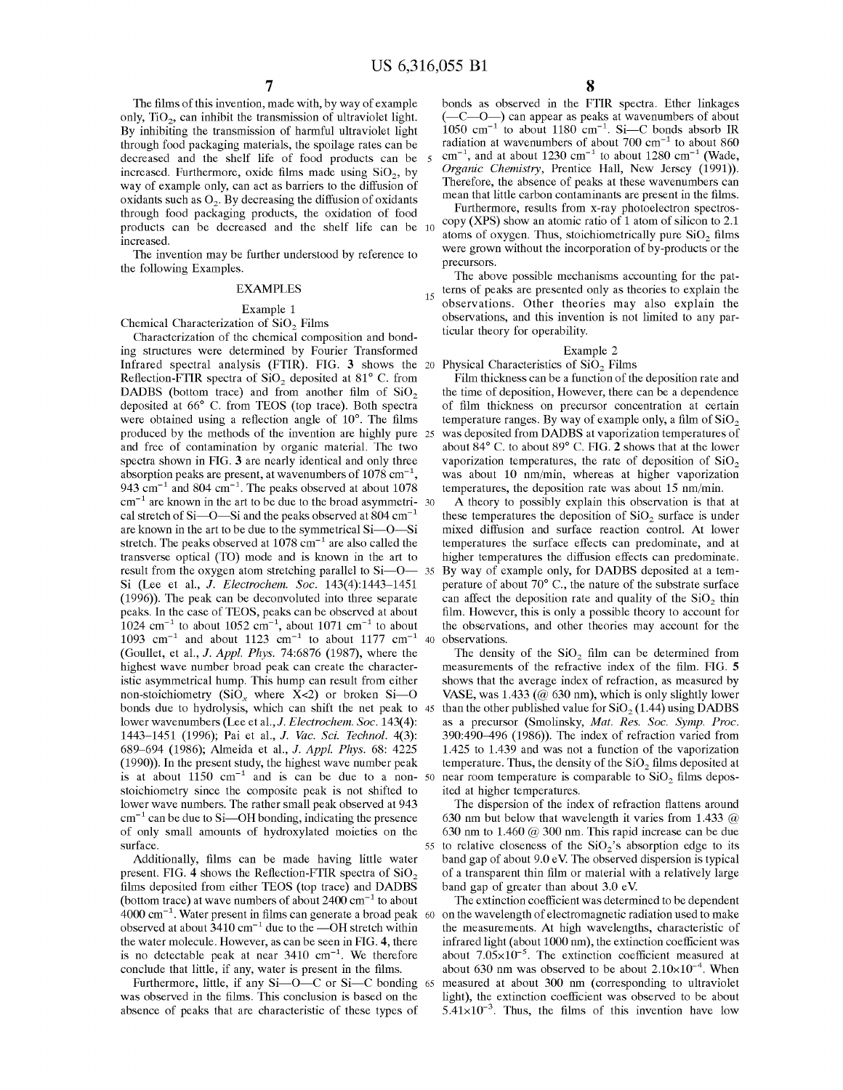$\overline{\phantom{a}}$ 

The films of this invention, made with, by way of example only,  $TiO<sub>2</sub>$ , can inhibit the transmission of ultraviolet light. By inhibiting the transmission of harmful ultraviolet light through food packaging materials, the spoilage rates can be decreased and the shelf life of food products can be increased. Furthermore, oxide films made using  $SiO<sub>2</sub>$ , by way of example only, can act as barriers to the diffusion of oxidants such as  $O_2$ . By decreasing the diffusion of oxidants through food packaging products, the oxidation of food products can be decreased and the shelf life can be 10 increased.

The invention may be further understood by reference to the following Examples.

## EXAMPLES

#### Example 1

Chemical Characterization of SiO<sub>2</sub> Films

Characterization of the chemical composition and bonding structures were determined by Fourier Transformed Infrared spectral analysis (FTIR). FIG. 3 shows the 20 Physical Characteristics of  $SiO<sub>2</sub>$  Films Reflection-FTIR spectra of  $SiO<sub>2</sub>$  deposited at  $81^{\circ}$  C. from DADBS (bottom trace) and from another film of  $SiO<sub>2</sub>$ deposited at 66° C. from TEOS (top trace). Both spectra were obtained using a reflection angle of 10°. The films produced by the methods of the invention are highly pure 25 and free of contamination by organic material. The two spectra shown in FIG. 3 are nearly identical and only three absorption peaks are present, at wavenumbers of 1078 cm'l, 943  $cm^{-1}$  and 804  $cm^{-1}$ . The peaks observed at about 1078  $cm^{-1}$  are known in the art to be due to the broad asymmetri- 30 cal stretch of Si-O-Si and the peaks observed at 804 cm<sup>-1</sup> are known in the art to be due to the symmetrical Si—O—Si stretch. The peaks observed at  $1078 \text{ cm}^{-1}$  are also called the transverse optical (TO) mode and is known in the art to result from the oxygen atom stretching parallel to Si—O— 35. By way of example only, for DADBS deposited at a tem-<br>result from the oxygen atom stretching parallel to Si—O— 35. By way of example only, for DADBS deposited at Si (Lee et al., J. Electrochem. Soc. 143(4):1443—1451 (1996)). The peak can be deconvoluted into three separate peaks. In the case of TEOS, peaks can be observed at about  $1024$  cm<sup>-1</sup> to about 1052 cm<sup>-1</sup>, about 1071 cm<sup>-1</sup> to about 1093 cm<sup>-1</sup> and about 1123 cm<sup>-1</sup> to about 1177 cm<sup>-1</sup> (Goullet, et al., J. Appl. Phys. 74:6876 (1987), where the highest wave number broad peak can create the characteristic asymmetrical hump. This hump can result from either non-stoichiometry (SiO<sub>x</sub> where  $X<2$ ) or broken Si--O honds due to hydrolysis, which can shift the net peak to 45 than the other published value for SiO<sub>2</sub> (1.44) using DADBS lower wavenumbers (Lee et al., J. Electrochem. Soc. 143(4): 1443—1451 (1996); Pai et al., J. Vac. Sci. Technol. 4(3): 689—694 (1986); Almeida et al., J. Appl. Phys. 68: 4225 (1990)). In the present study, the highest wave number peak is at about  $1150 \text{ cm}^{-1}$  and is can be due to a non- 50 stoichiometry since the composite peak is not shifted to lower wave numbers. The rather small peak observed at 943  $cm<sup>-1</sup>$  can be due to Si—OH bonding, indicating the presence of only small amounts of hydroxylated moieties on the surface. 40

Additionally, films can be made having little water present. FIG. 4 shows the Reflection-FTIR spectra of  $SiO<sub>2</sub>$ films deposited from either TEOS (top trace) and DADBS (bottom trace) at wave numbers of about  $2400 \text{ cm}^{-1}$  to about 4000 cm'l. Water present in films can generate a broad peak observed at about  $3410 \text{ cm}^{-1}$  due to the —OH stretch within the water molecule. However, as can be seen in FIG. 4, there is no detectable peak at near  $3410 \text{ cm}^{-1}$ . We therefore conclude that little, if any, water is present in the films.

Furthermore, little, if any Si—O—C or Si—C bonding 65 was observed in the films. This conclusion is based on the absence of peaks that are characteristic of these types of

bonds as observed in the FTIR spectra. Ether linkages (—C—O—) can appear as peaks at wavenumbers of about  $1050 \text{ cm}^{-1}$  to about 1180 cm<sup>-1</sup>. Si—C bonds absorb IR radiation at wavenumbers of about  $700 \text{ cm}^{-1}$  to about  $860$  $cm^{-1}$ , and at about 1230  $cm^{-1}$  to about 1280  $cm^{-1}$  (Wade, Organic Chemistry, Prentice Hall, New Jersey (1991)). Therefore, the absence of peaks at these wavenumbers can mean that little carbon contaminants are present in the films.

Furthermore, results from x-ray photoelectron spectroscopy (XPS) show an atomic ratio of <sup>1</sup> atom of silicon to 2.1 atoms of oxygen. Thus, stoichiometrically pure  $SiO<sub>2</sub>$  films were grown without the incorporation of by-products or the precursors.

terns of peaks are presented only as theories to explain the The above possible mechanisms accounting for the patobservations. Other theories may also explain the observations, and this invention is not limited to any particular theory for operability.

#### Example 2

Film thickness can be a function of the deposition rate and the time of deposition, However, there can be a dependence of film thickness on precursor concentration at certain temperature ranges. By way of example only, a film of  $SiO<sub>2</sub>$ was deposited from DADBS at vaporization temperatures of about 84° C. to about 89° C. FIG. 2 shows that at the lower vaporization temperatures, the rate of deposition of  $SiO<sub>2</sub>$ was about 10 nm/min, whereas at higher vaporization temperatures, the deposition rate was about 15 nm/min.

A theory to possibly explain this observation is that at these temperatures the deposition of  $SiO<sub>2</sub>$  surface is under mixed diffusion and surface reaction control. At lower temperatures the surface effects can predominate, and at higher temperatures the diffusion effects can predominate. perature of about 70° C., the nature of the substrate surface can affect the deposition rate and quality of the  $SiO<sub>2</sub>$  thin film. However, this is only a possible theory to account for the observations, and other theories may account for the observations.

The density of the  $SiO<sub>2</sub>$  film can be determined from measurements of the refractive index of the film. FIG. 5 shows that the average index of refraction, as measured by VASE, was  $1.433$  ( $@$  630 nm), which is only slightly lower as a precursor (Smolinsky, Mat. Res. Soc. Symp. Proc. 390:490—496 (1986)). The index of refraction varied from 1.425 to 1.439 and was not a function of the vaporization temperature. Thus, the density of the  $SiO<sub>2</sub>$  films deposited at near room temperature is comparable to  $SiO<sub>2</sub>$  films deposited at higher temperatures.

55 to relative closeness of the  $SiO<sub>2</sub>$ 's absorption edge to its The dispersion of the index of refraction flattens around <sup>630</sup> nm but below that wavelength it varies from 1.433 @ 630 nm to 1.460  $@$  300 nm. This rapid increase can be due band gap of about 9.0 eV. The observed dispersion is typical of a transparent thin film or material with a relatively large band gap of greater than about 3.0 eV.

60 on the wavelength of electromagnetic radiation used to make The extinction coefficient was determined to be dependent the measurements. At high wavelengths, characteristic of infrared light (about 1000 nm), the extinction coefficient was about  $7.05 \times 10^{-5}$ . The extinction coefficient measured at about 630 nm was observed to be about  $2.10\times10^{-4}$ . When measured at about 300 nm (corresponding to ultraviolet light), the extinction coefficient was observed to be about  $5.41\times10^{-3}$ . Thus, the films of this invention have low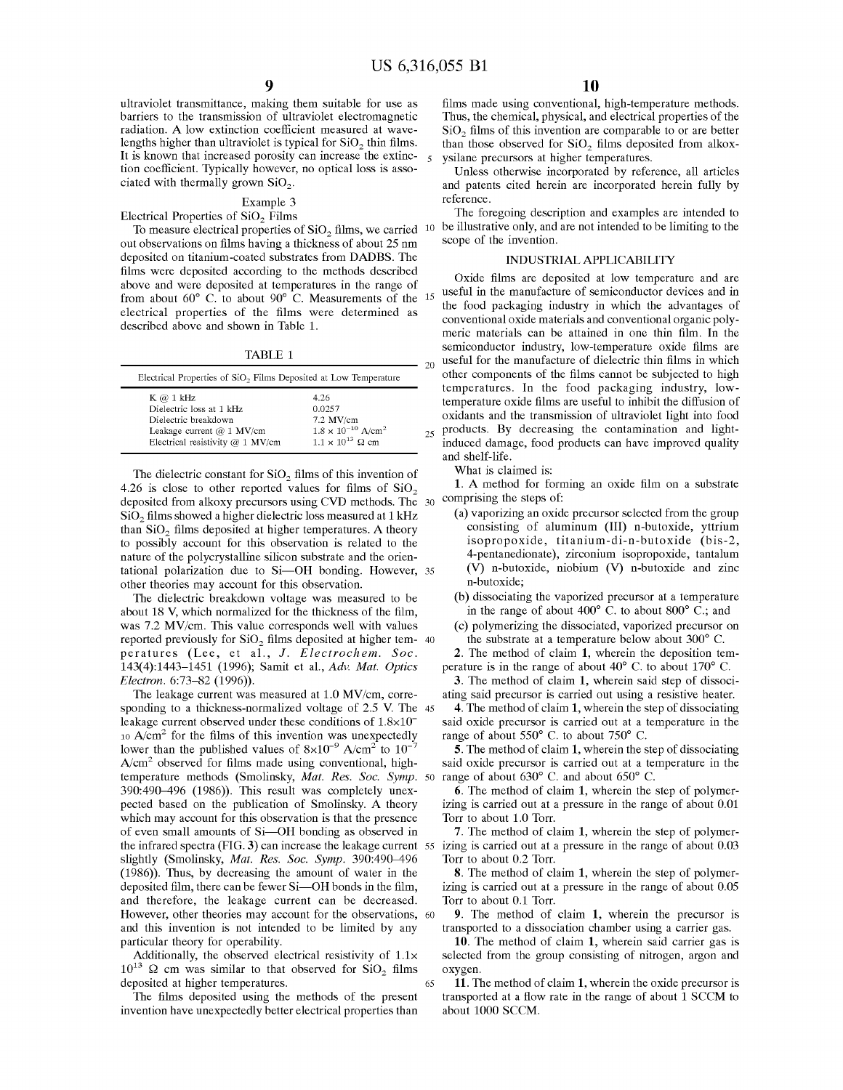$\leq$ 

 $20$ 

25

65

ultraviolet transmittance, making them suitable for use as barriers to the transmission of ultraviolet electromagnetic radiation. A low extinction coefficient measured at wavelengths higher than ultraviolet is typical for  $SiO<sub>2</sub>$  thin films. It is known that increased porosity can increase the extinction coefficient. Typically however, no optical loss is associated with thermally grown SiOz.

#### Example 3

Electrical Properties of  $SiO<sub>2</sub>$  Films

To measure electrical properties of  $SiO<sub>2</sub>$  films, we carried  $10$ out observations on films having <sup>a</sup> thickness of about 25 nm deposited on titanium-coated substrates from DADBS. The films were deposited according to the methods described above and were deposited at temperatures in the range of from about 60° C. to about 90° C. Measurements of the electrical properties of the films were determined as US 6,3<br> **9**<br>
US 6,3<br>
ultraviolet transmittance, making them suitable for use as<br>
barriers to the transmission of ultraviolet electromagnetic<br>
radiation. A low extinction coefficient measured at wave-<br>
lengths higher than US 6,3<br>
US 6,3<br>
US 6,3<br>
US 6,3<br>
barriers to the transmission of ultraviolet lectromagnetic<br>
radiation. A low extinction coefficient measured at wave-<br>
lengths higher than ultraviolet is typical for SiO<sub>2</sub> thin films.<br>
It described above and shown in Table 1. **19** US 6,3<br>
US 6,3<br>
ultraviolet transmitance, making them suitable for use as<br>
barriers to the transmission of ultraviolet electromagnetic<br>
realigibs higher than ultraviolet is typical for SiO<sub>2</sub> thin lines<br>
It is known

TABLE <sup>1</sup>

| Electrical Properties of SiO <sub>2</sub> Films Deposited at Low Temperature |                                         |  |  |  |
|------------------------------------------------------------------------------|-----------------------------------------|--|--|--|
| $K \varnothing 1 kHz$                                                        | 4.26                                    |  |  |  |
| Dielectric loss at 1 kHz                                                     | 0.0257                                  |  |  |  |
| Dielectric breakdown                                                         | $7.2$ MV/cm                             |  |  |  |
| Leakage current $@1$ MV/cm                                                   | $1.8 \times 10^{-10}$ A/cm <sup>2</sup> |  |  |  |
| Electrical resistivity $@ 1$ MV/cm                                           | $1.1 \times 10^{13}$ Q cm               |  |  |  |

The dielectric constant for  $SiO<sub>2</sub>$  films of this invention of 4.26 is close to other reported values for films of  $SiO<sub>2</sub>$  $\frac{4.26}{3}$  is close to other reported values for finite or  $\frac{310}{2}$ <br>deposited from alkoxy precursors using CVD methods. The  $\frac{30}{2}$  comprising the steps of:  $SiO<sub>2</sub>$  films showed a higher dielectric loss measured at 1 kHz than  $SiO<sub>2</sub>$  films deposited at higher temperatures. A theory to possibly account for this observation is related to the nature of the polycrystalline silicon substrate and the orientational polarization due to Si—OH bonding. However, 35 other theories may account for this observation.

The dielectric breakdown voltage was measured to be about 18 V, which normalized for the thickness of the film, was 7.2 MV/cm. This value corresponds well with values reported previously for SiO<sub>2</sub> films deposited at higher tem-40 peratures (Lee, et al., J. Electrochem. Soc. 143(4):1443-1451 (1996); Samit et al., Adv. Mat. Optics Electron. 6:73—82 (1996)).

The leakage current was measured at 1.0 MV/cm, corresponding to a thickness-normalized voltage of  $2.5$  V. The 45 leakage current observed under these conditions of  $1.8\times10^{-7}$  $10$  A/cm<sup>2</sup> for the films of this invention was unexpectedly lower than the published values of  $8\times10^{-9}$  A/cm<sup>2</sup> to  $10^{-7}$  $A/cm<sup>2</sup>$  observed for films made using conventional, hightemperature methods (Smolinsky, *Mat. Res. Soc. Symp. 5*0 range of about 630°C, and about 650°C. 390:490—496 (1986)). This result was completely unexpected based on the publication of Smolinsky. A theory which may account for this observation is that the presence of even small amounts of Si—OH bonding as observed in the infrared spectra (FIG. 3) can increase the leakage current 55 izing is carried out at a pressure in the range of about 0.03 slightly (Smolinsky, Mat. Res. Soc. Symp. 390:490—496 (1986)). Thus, by decreasing the amount of water in the deposited film, there can be fewer Si—OH bonds in the film, and therefore, the leakage current can be decreased. However, other theories may account for the observations, 60 and this invention is not intended to be limited by any particular theory for operability.

Additionally, the observed electrical resistivity of  $1.1\times$  $10^{13}$   $\Omega$  cm was similar to that observed for SiO<sub>2</sub> films deposited at higher temperatures.

The films deposited using the methods of the present invention have unexpectedly better electrical properties than

films made using conventional, high-temperature methods. Thus, the chemical, physical, and electrical properties of the  $SiO<sub>2</sub>$  films of this invention are comparable to or are better than those observed for  $SiO<sub>2</sub>$  films deposited from alkoxysilane precursors at higher temperatures.

Unless otherwise incorporated by reference, all articles and patents cited herein are incorporated herein fully by reference.

The foregoing description and examples are intended to be illustrative only, and are not intended to be limiting to the scope of the invention.

#### INDUSTRIAL APPLICABILITY

15 useful in the manufacture of semiconductor devices and in Oxide films are deposited at low temperature and are the food packaging industry in which the advantages of conventional oxide materials and conventional organic polymeric materials can be attained in one thin film. In the semiconductor industry, low-temperature oxide films are useful for the manufacture of dielectric thin films in which other components of the films cannot be subjected to high temperatures. In the food packaging industry, lowtemperature oxide films are useful to inhibit the diffusion of oxidants and the transmission of ultraviolet light into food products. By decreasing the contamination and lightinduced damage, food products can have improved quality and shelf-life.

What is claimed is:

1. A method for forming an oxide film on <sup>a</sup> substrate

- (a) vaporizing an oxide precursor selected from the group consisting of aluminum (III) n-butoxide, yttrium isopropoxide, titanium-di-n-butoxide (bis-2, 4-pentanedionate), zirconium isopropoxide, tantalum (V) n-butoxide, niobium (V) n-butoxide and zinc n-butoxide;
- (b) dissociating the vaporized precursor at a temperature in the range of about 400° C. to about 800° C.; and
- (c) polymerizing the dissociated, vaporized precursor on the substrate at a temperature below about 300° C.

2. The method of claim 1, wherein the deposition temperature is in the range of about 40° C. to about 170° C.

3. The method of claim 1, wherein said step of dissociating said precursor is carried out using a resistive heater.

4. The method of claim 1, wherein the step of dissociating said oxide precursor is carried out at a temperature in the range of about 550° C. to about 750° C.

5. The method of claim 1, wherein the step of dissociating said oxide precursor is carried out at a temperature in the

6. The method of claim 1, wherein the step of polymerizing is carried out at a pressure in the range of about 0.01 Torr to about 1.0 Torr.

7. The method of claim 1, wherein the step of polymer-Torr to about 0.2 Torr.

8. The method of claim 1, wherein the step of polymerizing is carried out at a pressure in the range of about 0.05 Torr to about 0.1 Torr.

9. The method of claim 1, wherein the precursor is transported to a dissociation chamber using a carrier gas.

10. The method of claim 1, wherein said carrier gas is selected from the group consisting of nitrogen, argon and oxygen.

11. The method of claim 1, wherein the oxide precursor is transported at <sup>a</sup> flow rate in the range of about <sup>1</sup> SCCM to about 1000 SCCM.